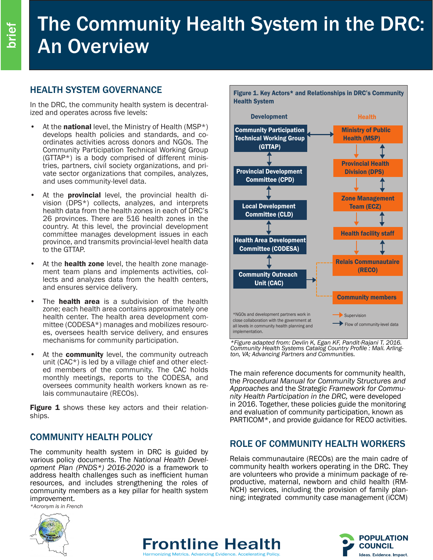# The Community Health System in the DRC: An Overview

## HEALTH SYSTEM GOVERNANCE

In the DRC, the community health system is decentral- ized and operates across five levels:

- At the **national** level, the Ministry of Health (MSP\*) develops health policies and standards, and coordinates activities across donors and NGOs. The Community Participation Technical Working Group  $(GTTAP*)$  is a body comprised of different ministries, partners, civil society organizations, and private sector organizations that compiles, analyzes, and uses community-level data.
- At the **provincial** level, the provincial health division (DPS\*) collects, analyzes, and interprets health data from the health zones in each of DRC's 26 provinces. There are 516 health zones in the country. At this level, the provincial development committee manages development issues in each province, and transmits provincial-level health data to the GTTAP.
- At the health zone level, the health zone management team plans and implements activities, collects and analyzes data from the health centers, and ensures service delivery.
- The **health area** is a subdivision of the health zone; each health area contains approximately one mittee (CODESA\*) manages and mobilizes resourc-<br>es, oversees health service delivery, and ensures mechanisms for community participation.
- At the **community** level, the community outreach unit ( $CAC^*$ ) is led by a village chief and other elected members of the community. The CAC holds monthly meetings, reports to the CODESA, and oversees community health workers known as relais communautaire (RECOs).

Figure 1 shows these key actors and their relationships.

### COMMUNITY HEALTH POLICY

The community health system in DRC is guided by various policy documents. The *National Health Development Plan (PNDS\*) 2016-2020* is a framework to address health challenges such as inefficient human resources, and includes strengthening the roles of community members as a key pillar for health system improvement.

*\*Acronym is in French*



*\*Figure adapted from: Devlin K, Egan KF, Pandit-Rajani T. 2016. Community Health Systems Catalog Country Profile : Mali. Arling- ton, VA; Advancing Partners and Communities.* 

The main reference documents for community health, the *Procedural Manual for Community Structures and Approaches* and the *Strategic Framework for Community Health Participation in the DRC,* were developed in 2016. Together, these policies guide the monitoring and evaluation of community participation, known as PARTICOM\*, and provide guidance for RECO activities.

#### ROLE OF COMMUNITY HEALTH WORKERS

Relais communautaire (RECOs) are the main cadre of community health workers operating in the DRC. They are volunteers who provide a minimum package of reproductive, maternal, newborn and child health (RM-NCH) services, including the provision of family planning; integrated community case management (iCCM)







Figure 1. Key Actors\* and Relationships in DRC's Community Health System